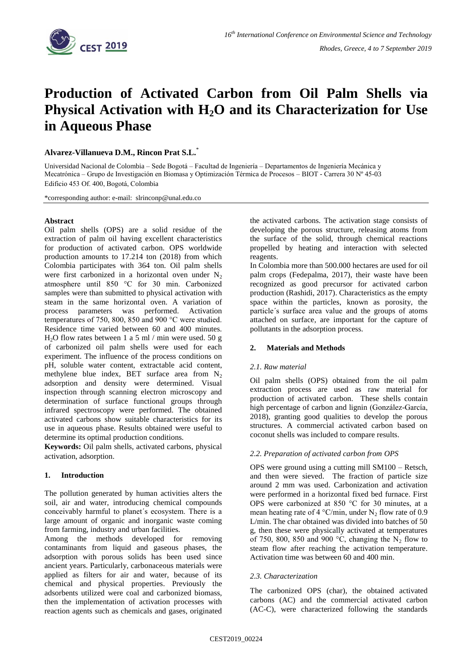

# **Production of Activated Carbon from Oil Palm Shells via Physical Activation with H2O and its Characterization for Use in Aqueous Phase**

**Alvarez-Villanueva D.M., Rincon Prat S.L.** \*

Universidad Nacional de Colombia – Sede Bogotá – Facultad de Ingeniería – Departamentos de Ingeniería Mecánica y Mecatrónica – Grupo de Investigación en Biomasa y Optimización Térmica de Procesos – BIOT - Carrera 30 Nº 45-03 Edificio 453 Of. 400, Bogotá, Colombia

\*corresponding author: e-mail: slrinconp@unal.edu.co

## **Abstract**

Oil palm shells (OPS) are a solid residue of the extraction of palm oil having excellent characteristics for production of activated carbon. OPS worldwide production amounts to 17.214 ton (2018) from which Colombia participates with 364 ton. Oil palm shells were first carbonized in a horizontal oven under  $N_2$ atmosphere until 850 °C for 30 min. Carbonized samples were than submitted to physical activation with steam in the same horizontal oven. A variation of process parameters was performed. Activation temperatures of 750, 800, 850 and 900 °C were studied. Residence time varied between 60 and 400 minutes.  $H<sub>2</sub>O$  flow rates between 1 a 5 ml / min were used. 50 g of carbonized oil palm shells were used for each experiment. The influence of the process conditions on pH, soluble water content, extractable acid content, methylene blue index, BET surface area from  $N_2$ adsorption and density were determined. Visual inspection through scanning electron microscopy and determination of surface functional groups through infrared spectroscopy were performed. The obtained activated carbons show suitable characteristics for its use in aqueous phase. Results obtained were useful to determine its optimal production conditions.

**Keywords:** Oil palm shells, activated carbons, physical activation, adsorption.

## **1. Introduction**

The pollution generated by human activities alters the soil, air and water, introducing chemical compounds conceivably harmful to planet´s ecosystem. There is a large amount of organic and inorganic waste coming from farming, industry and urban facilities.

Among the methods developed for removing contaminants from liquid and gaseous phases, the adsorption with porous solids has been used since ancient years. Particularly, carbonaceous materials were applied as filters for air and water, because of its chemical and physical properties. Previously the adsorbents utilized were coal and carbonized biomass, then the implementation of activation processes with reaction agents such as chemicals and gases, originated

the activated carbons. The activation stage consists of developing the porous structure, releasing atoms from the surface of the solid, through chemical reactions propelled by heating and interaction with selected reagents.

In Colombia more than 500.000 hectares are used for oil palm crops (Fedepalma, 2017), their waste have been recognized as good precursor for activated carbon production (Rashidi, 2017). Characteristics as the empty space within the particles, known as porosity, the particle´s surface area value and the groups of atoms attached on surface, are important for the capture of pollutants in the adsorption process.

# **2. Materials and Methods**

## *2.1. Raw material*

Oil palm shells (OPS) obtained from the oil palm extraction process are used as raw material for production of activated carbon. These shells contain high percentage of carbon and lignin (González-García, 2018), granting good qualities to develop the porous structures. A commercial activated carbon based on coconut shells was included to compare results.

## *2.2. Preparation of activated carbon from OPS*

OPS were ground using a cutting mill SM100 – Retsch, and then were sieved. The fraction of particle size around 2 mm was used. Carbonization and activation were performed in a horizontal fixed bed furnace. First OPS were carbonized at 850 °C for 30 minutes, at a mean heating rate of 4  $\degree$ C/min, under N<sub>2</sub> flow rate of 0.9 L/min. The char obtained was divided into batches of 50 g, then these were physically activated at temperatures of 750, 800, 850 and 900 °C, changing the  $N_2$  flow to steam flow after reaching the activation temperature. Activation time was between 60 and 400 min.

## *2.3. Characterization*

The carbonized OPS (char), the obtained activated carbons (AC) and the commercial activated carbon (AC-C), were characterized following the standards